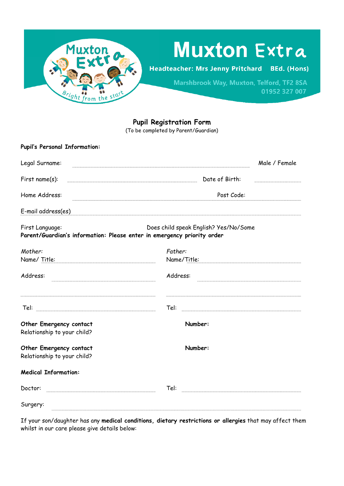

# **Muxton Extra**

**Headteacher: Mrs Jenny Pritchard BEd.** (Hons)

> Marshbrook Way, Muxton, Telford, TF2 8SA 01952 327 007

**Pupil Registration Form**

(To be completed by Parent/Guardian)

| <b>Pupil's Personal Information:</b>                                                       |                                       |               |
|--------------------------------------------------------------------------------------------|---------------------------------------|---------------|
| Legal Surname:                                                                             |                                       | Male / Female |
| First name(s):                                                                             | Date of Birth:                        |               |
| Home Address:                                                                              | Post Code:                            |               |
| E-mail address(es)                                                                         |                                       |               |
| First Language:<br>Parent/Guardian's information: Please enter in emergency priority order | Does child speak English? Yes/No/Some |               |
| Mother:                                                                                    | Father:                               |               |
| Name/ Title:                                                                               | Name/Title:                           |               |
| Address:                                                                                   | Address:                              |               |
|                                                                                            | Tel:                                  |               |
| Other Emergency contact<br>Relationship to your child?                                     | Number:                               |               |
| Other Emergency contact<br>Relationship to your child?                                     | Number:                               |               |
| <b>Medical Information:</b>                                                                |                                       |               |
| Doctor:                                                                                    | Tel:                                  |               |
| Surgery:                                                                                   |                                       |               |

If your son/daughter has any **medical conditions, dietary restrictions or allergies** that may affect them whilst in our care please give details below: